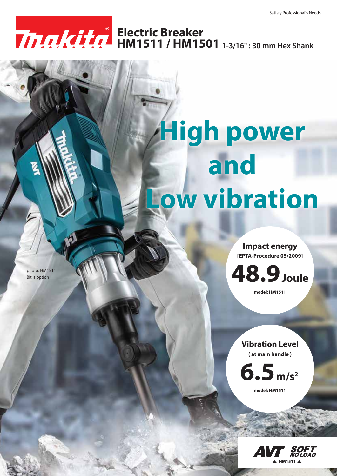## **HM1511 / HM1501 1-3/16" : 30 mm Hex Shank Electric Breaker**

## **High power and Low vibration**

**Impact energy [EPTA-Procedure 05/2009]**



**model: HM1511**

## **Vibration Level**

**( at main handle )**



**model: HM1511**



photo: HM1511 Bit is option